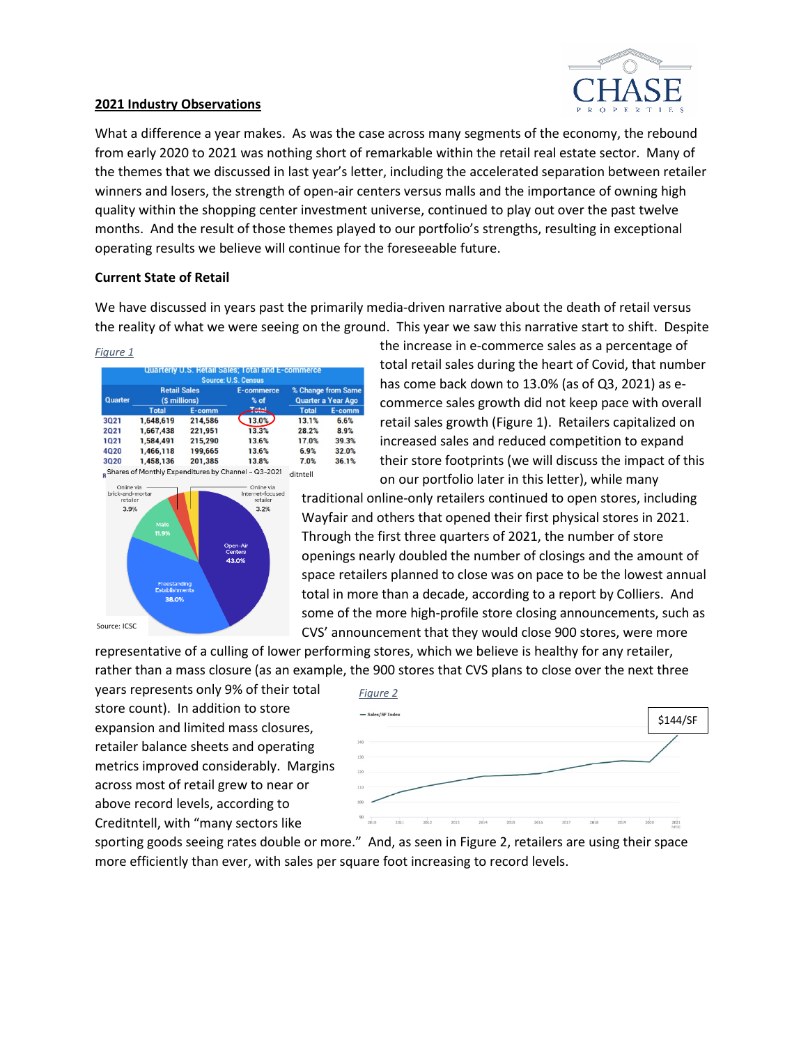

# **2021 Industry Observations**

What a difference a year makes. As was the case across many segments of the economy, the rebound from early 2020 to 2021 was nothing short of remarkable within the retail real estate sector. Many of the themes that we discussed in last year's letter, including the accelerated separation between retailer winners and losers, the strength of open-air centers versus malls and the importance of owning high quality within the shopping center investment universe, continued to play out over the past twelve months. And the result of those themes played to our portfolio's strengths, resulting in exceptional operating results we believe will continue for the foreseeable future.

# **Current State of Retail**

We have discussed in years past the primarily media-driven narrative about the death of retail versus the reality of what we were seeing on the ground. This year we saw this narrative start to shift. Despite

*Figure 1*

|                |                                      |           | <b>Source: U.S. Census</b> |                                          |       |
|----------------|--------------------------------------|-----------|----------------------------|------------------------------------------|-------|
| <b>Quarter</b> | <b>Retail Sales</b><br>(\$ millions) |           | <b>E-commerce</b><br>% of  | % Change from Same<br>Quarter a Year Ago |       |
|                |                                      |           |                            |                                          |       |
|                | 3021                                 | 1,648,619 | 214,586                    | 13.0%                                    | 13.1% |
| 2021           | 1,667,438                            | 221,951   | 13.3%                      | 28.2%                                    | 8.9%  |
| 1021           | 1.584.491                            | 215.290   | 13.6%                      | 17.0%                                    | 39.3% |
| 4020           | 1,466,118                            | 199.665   | 13.6%                      | 6.9%                                     | 32.0% |
| 3020           | 1.458.136                            | 201.385   | 13.8%                      | 7.0%                                     | 36.1% |



the increase in e-commerce sales as a percentage of total retail sales during the heart of Covid, that number has come back down to 13.0% (as of Q3, 2021) as ecommerce sales growth did not keep pace with overall retail sales growth (Figure 1). Retailers capitalized on increased sales and reduced competition to expand their store footprints (we will discuss the impact of this on our portfolio later in this letter), while many

traditional online-only retailers continued to open stores, including Wayfair and others that opened their first physical stores in 2021. Through the first three quarters of 2021, the number of store openings nearly doubled the number of closings and the amount of space retailers planned to close was on pace to be the lowest annual total in more than a decade, according to a report by Colliers. And some of the more high-profile store closing announcements, such as CVS' announcement that they would close 900 stores, were more

representative of a culling of lower performing stores, which we believe is healthy for any retailer, rather than a mass closure (as an example, the 900 stores that CVS plans to close over the next three

years represents only 9% of their total store count). In addition to store expansion and limited mass closures, retailer balance sheets and operating metrics improved considerably. Margins across most of retail grew to near or above record levels, according to Creditntell, with "many sectors like



sporting goods seeing rates double or more." And, as seen in Figure 2, retailers are using their space more efficiently than ever, with sales per square foot increasing to record levels.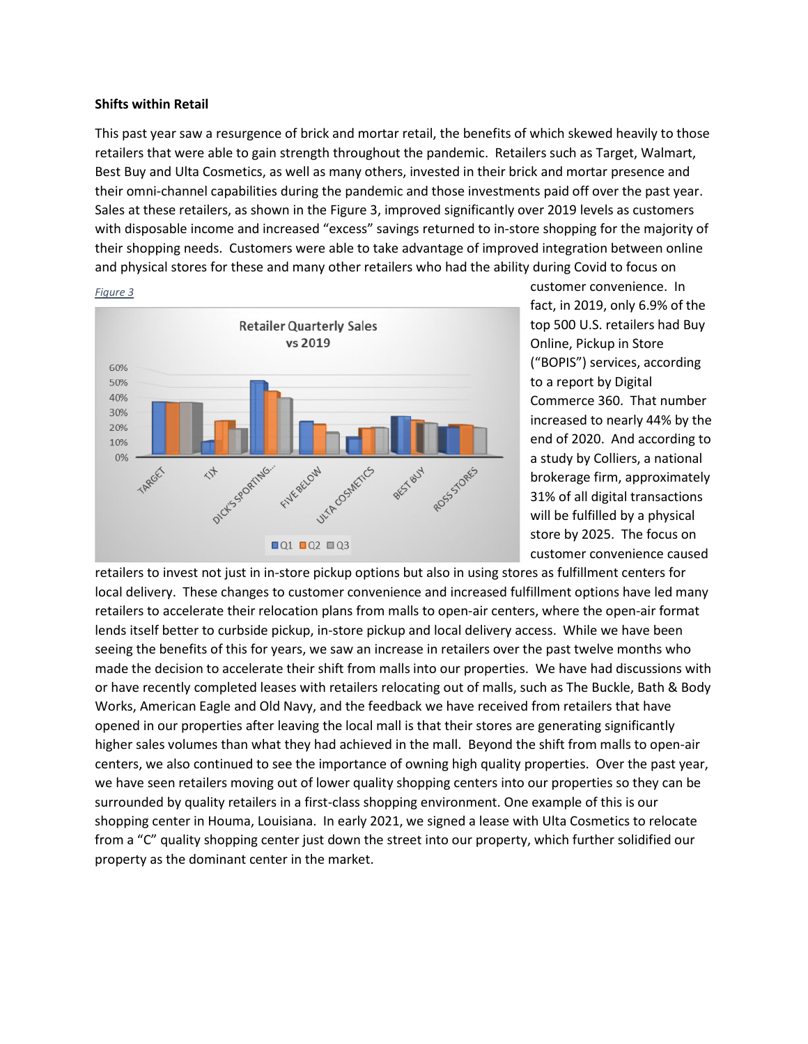### **Shifts within Retail**

This past year saw a resurgence of brick and mortar retail, the benefits of which skewed heavily to those retailers that were able to gain strength throughout the pandemic. Retailers such as Target, Walmart, Best Buy and Ulta Cosmetics, as well as many others, invested in their brick and mortar presence and their omni-channel capabilities during the pandemic and those investments paid off over the past year. Sales at these retailers, as shown in the Figure 3, improved significantly over 2019 levels as customers with disposable income and increased "excess" savings returned to in-store shopping for the majority of their shopping needs. Customers were able to take advantage of improved integration between online and physical stores for these and many other retailers who had the ability during Covid to focus on



*Figure 3*

customer convenience. In fact, in 2019, only 6.9% of the top 500 U.S. retailers had Buy Online, Pickup in Store ("BOPIS") services, according to a report by Digital Commerce 360. That number increased to nearly 44% by the end of 2020. And according to a study by Colliers, a national brokerage firm, approximately 31% of all digital transactions will be fulfilled by a physical store by 2025. The focus on customer convenience caused

retailers to invest not just in in-store pickup options but also in using stores as fulfillment centers for local delivery. These changes to customer convenience and increased fulfillment options have led many retailers to accelerate their relocation plans from malls to open-air centers, where the open-air format lends itself better to curbside pickup, in-store pickup and local delivery access. While we have been seeing the benefits of this for years, we saw an increase in retailers over the past twelve months who made the decision to accelerate their shift from malls into our properties. We have had discussions with or have recently completed leases with retailers relocating out of malls, such as The Buckle, Bath & Body Works, American Eagle and Old Navy, and the feedback we have received from retailers that have opened in our properties after leaving the local mall is that their stores are generating significantly higher sales volumes than what they had achieved in the mall. Beyond the shift from malls to open-air centers, we also continued to see the importance of owning high quality properties. Over the past year, we have seen retailers moving out of lower quality shopping centers into our properties so they can be surrounded by quality retailers in a first-class shopping environment. One example of this is our shopping center in Houma, Louisiana. In early 2021, we signed a lease with Ulta Cosmetics to relocate from a "C" quality shopping center just down the street into our property, which further solidified our property as the dominant center in the market.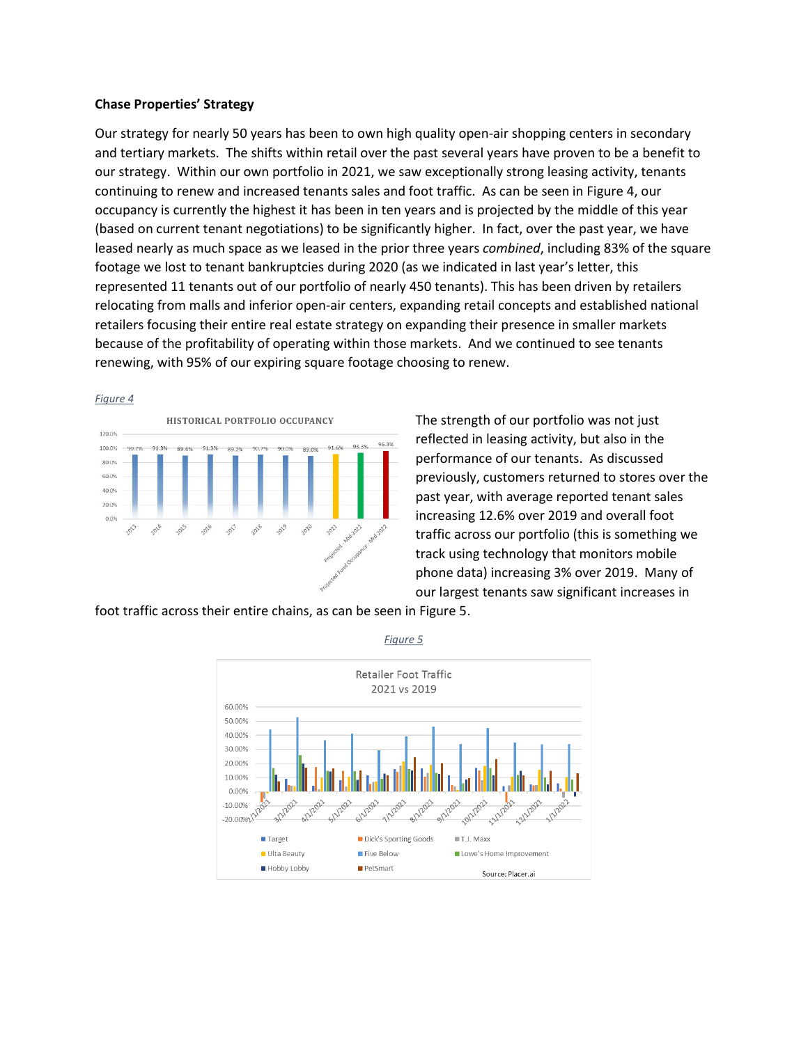## **Chase Properties' Strategy**

Our strategy for nearly 50 years has been to own high quality open-air shopping centers in secondary and tertiary markets. The shifts within retail over the past several years have proven to be a benefit to our strategy. Within our own portfolio in 2021, we saw exceptionally strong leasing activity, tenants continuing to renew and increased tenants sales and foot traffic. As can be seen in Figure 4, our occupancy is currently the highest it has been in ten years and is projected by the middle of this year (based on current tenant negotiations) to be significantly higher. In fact, over the past year, we have leased nearly as much space as we leased in the prior three years *combined*, including 83% of the square footage we lost to tenant bankruptcies during 2020 (as we indicated in last year's letter, this represented 11 tenants out of our portfolio of nearly 450 tenants). This has been driven by retailers relocating from malls and inferior open-air centers, expanding retail concepts and established national retailers focusing their entire real estate strategy on expanding their presence in smaller markets because of the profitability of operating within those markets. And we continued to see tenants renewing, with 95% of our expiring square footage choosing to renew.

#### *Figure 4*



The strength of our portfolio was not just reflected in leasing activity, but also in the performance of our tenants. As discussed previously, customers returned to stores over the past year, with average reported tenant sales increasing 12.6% over 2019 and overall foot traffic across our portfolio (this is something we track using technology that monitors mobile phone data) increasing 3% over 2019. Many of our largest tenants saw significant increases in

foot traffic across their entire chains, as can be seen in Figure 5.